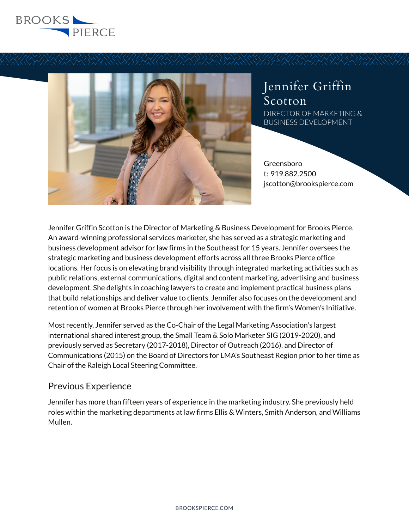



# Jennifer Griffin Scotton DIRECTOR OF MARKETING & BUSINESS DEVELOPMENT

Greensboro t: 919.882.2500 jscotton@brookspierce.com

Jennifer Griffin Scotton is the Director of Marketing & Business Development for Brooks Pierce. An award-winning professional services marketer, she has served as a strategic marketing and business development advisor for law firms in the Southeast for 15 years. Jennifer oversees the strategic marketing and business development efforts across all three Brooks Pierce office locations. Her focus is on elevating brand visibility through integrated marketing activities such as public relations, external communications, digital and content marketing, advertising and business development. She delights in coaching lawyers to create and implement practical business plans that build relationships and deliver value to clients. Jennifer also focuses on the development and retention of women at Brooks Pierce through her involvement with the firm's Women's Initiative.

Most recently, Jennifer served as the Co-Chair of the Legal Marketing Association's largest international shared interest group, the Small Team & Solo Marketer SIG (2019-2020), and previously served as Secretary (2017-2018), Director of Outreach (2016), and Director of Communications (2015) on the Board of Directors for LMA's Southeast Region prior to her time as Chair of the Raleigh Local Steering Committee.

## Previous Experience

Jennifer has more than fifteen years of experience in the marketing industry. She previously held roles within the marketing departments at law firms Ellis & Winters, Smith Anderson, and Williams Mullen.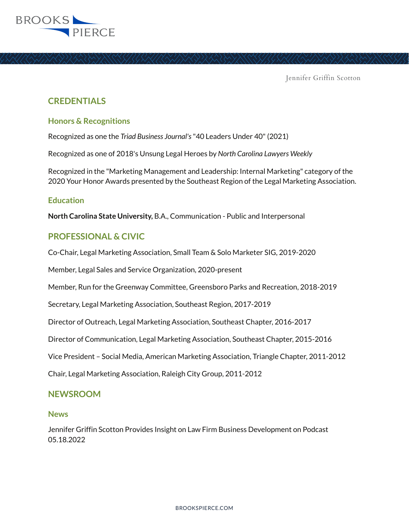

Jennifer Griffin Scotton

## **CREDENTIALS**

### **Honors & Recognitions**

Recognized as one the *Triad Business Journal's* "40 Leaders Under 40" (2021)

Recognized as one of 2018's Unsung Legal Heroes by *North Carolina Lawyers Weekly*

Recognized in the "Marketing Management and Leadership: Internal Marketing" category of the 2020 Your Honor Awards presented by the Southeast Region of the Legal Marketing Association.

### **Education**

**North Carolina State University,** B.A., Communication - Public and Interpersonal

## **PROFESSIONAL & CIVIC**

Co-Chair, Legal Marketing Association, Small Team & Solo Marketer SIG, 2019-2020

Member, Legal Sales and Service Organization, 2020-present

Member, Run for the Greenway Committee, Greensboro Parks and Recreation, 2018-2019

Secretary, Legal Marketing Association, Southeast Region, 2017-2019

Director of Outreach, Legal Marketing Association, Southeast Chapter, 2016-2017

Director of Communication, Legal Marketing Association, Southeast Chapter, 2015-2016

Vice President – Social Media, American Marketing Association, Triangle Chapter, 2011-2012

Chair, Legal Marketing Association, Raleigh City Group, 2011-2012

## **NEWSROOM**

#### **News**

Jennifer Griffin Scotton Provides Insight on Law Firm Business Development on Podcast 05.18.2022